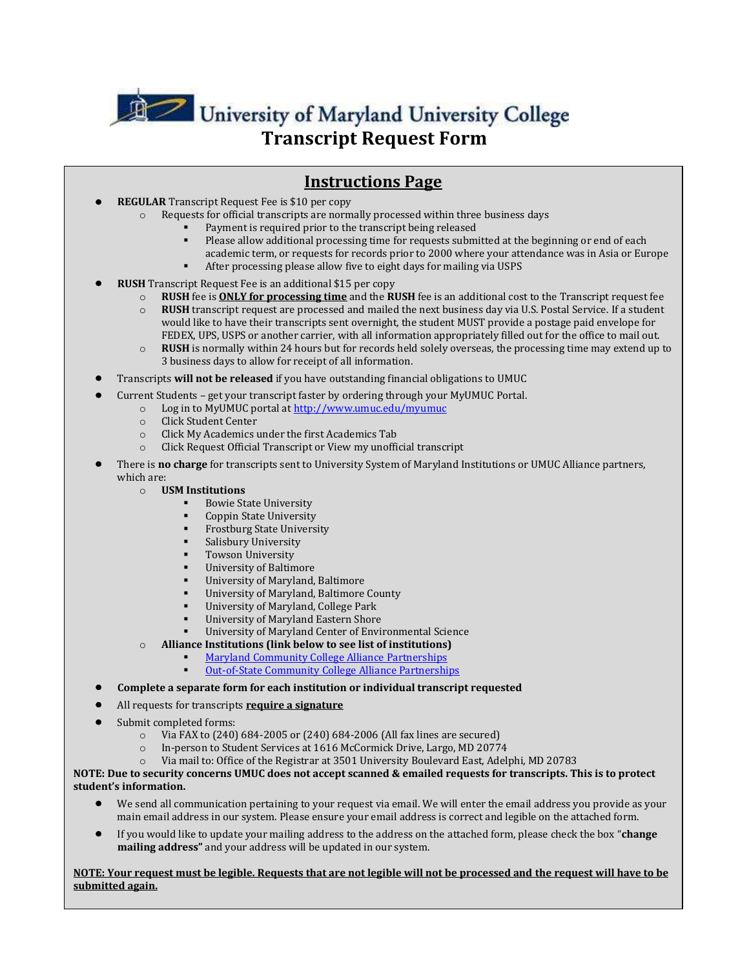

**Transcript Request Form** *Transcript Request Form* 

## **Instructions Page**

- **REGULAR** Transcript Request Fee is \$10 per copy
	- Requests for official transcripts are normally processed within three business days
		- Payment is required prior to the transcript being released
		- Please allow additional processing time for requests submitted at the beginning or end of each academic term, or requests for records prior to 2000 where your attendance was in Asia or Europe After processing please allow five to eight days for mailing via USPS
	- **RUSH** Transcript Request Fee is an additional \$15 per copy
		- o **RUSH** fee is **ONLY for processing time** and the **RUSH** fee is an additional cost to the Transcript request fee
		- o **RUSH** transcript request are processed and mailed the next business day via U.S. Postal Service. If a student would like to have their transcripts sent overnight, the student MUST provide a postage paid envelope for FEDEX, UPS, USPS or another carrier, with all information appropriately filled out for the office to mail out.
		- o **RUSH** is normally within 24 hours but for records held solely overseas, the processing time may extend up to 3 business days to allow for receipt of all information.
- Transcripts **will not be released** if you have outstanding financial obligations to UMUC
- Current Students get your transcript faster by ordering through your MyUMUC Portal.
	- o Log in to MyUMUC portal a[t http://www.umuc.edu/myumuc](http://www.umuc.edu/myumuc)
	- o Click Student Center
	- o Click My Academics under the first Academics Tab
	- o Click Request Official Transcript or View my unofficial transcript
- There is **no charge** for transcripts sent to University System of Maryland Institutions or UMUC Alliance partners, which are:
	- o **USM Institutions**
		- Bowie State University
		- Coppin State University
		- Frostburg State University
		- Salisbury University
		- Towson University
		- University of Baltimore
		- University of Maryland, Baltimore
		- University of Maryland, Baltimore County
		- University of Maryland, College Park
		- University of Maryland Eastern Shore
		- University of Maryland Center of Environmental Science
	- o **Alliance Institutions (link below to see list of institutions)**
		- [Maryland Community College Alliance Partnerships](http://www.umuc.edu/students/admissions/transfer/ccalliances/alliances_md.cfm)
			- [Out-of-State Community College Alliance Partnerships](http://www.umuc.edu/students/admissions/transfer/ccalliances/alliances_other.cfm)

## **Complete a separate form for each institution or individual transcript requested**

- All requests for transcripts **require a signature**
- Submit completed forms:
	- o Via FAX to (240) 684-2005 or (240) 684-2006 (All fax lines are secured)
	- o In-person to Student Services at 1616 McCormick Drive, Largo, MD 20774
	- o Via mail to: Office of the Registrar at 3501 University Boulevard East, Adelphi, MD 20783

## **NOTE: Due to security concerns UMUC does not accept scanned & emailed requests for transcripts. This is to protect student's information.**

- We send all communication pertaining to your request via email. We will enter the email address you provide as your main email address in our system. Please ensure your email address is correct and legible on the attached form.
- If you would like to update your mailing address to the address on the attached form, please check the box "**change mailing address"** and your address will be updated in our system.

**NOTE: Your request must be legible. Requests that are not legible will not be processed and the request will have to be submitted again.**